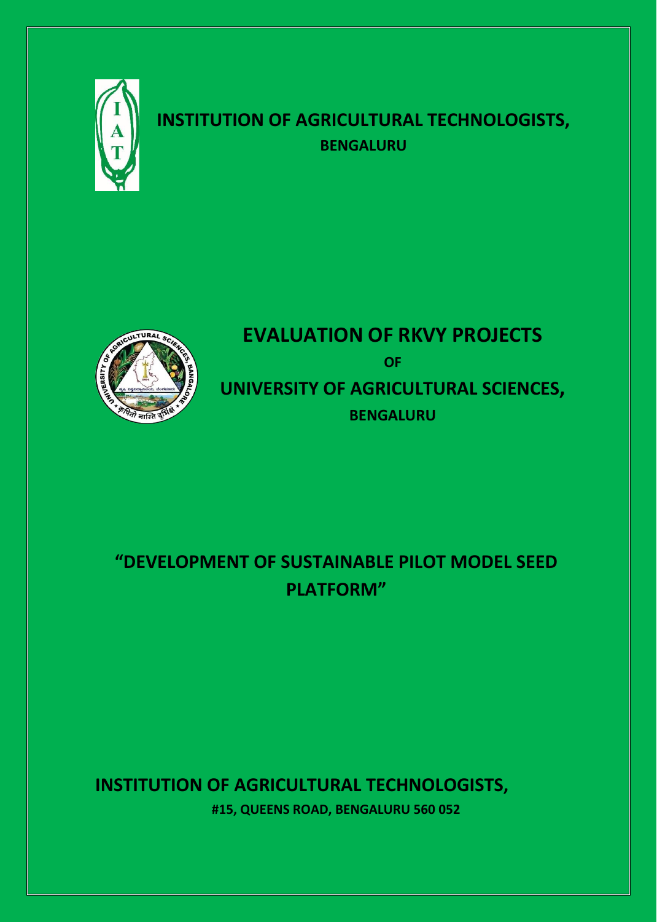

## **INSTITUTION OF AGRICULTURAL TECHNOLOGISTS, BENGALURU**



# **EVALUATION OF RKVY PROJECTS OF UNIVERSITY OF AGRICULTURAL SCIENCES, BENGALURU**

# **"DEVELOPMENT OF SUSTAINABLE PILOT MODEL SEED PLATFORM"**

## **INSTITUTION OF AGRICULTURAL TECHNOLOGISTS, #15, QUEENS ROAD, BENGALURU 560 052**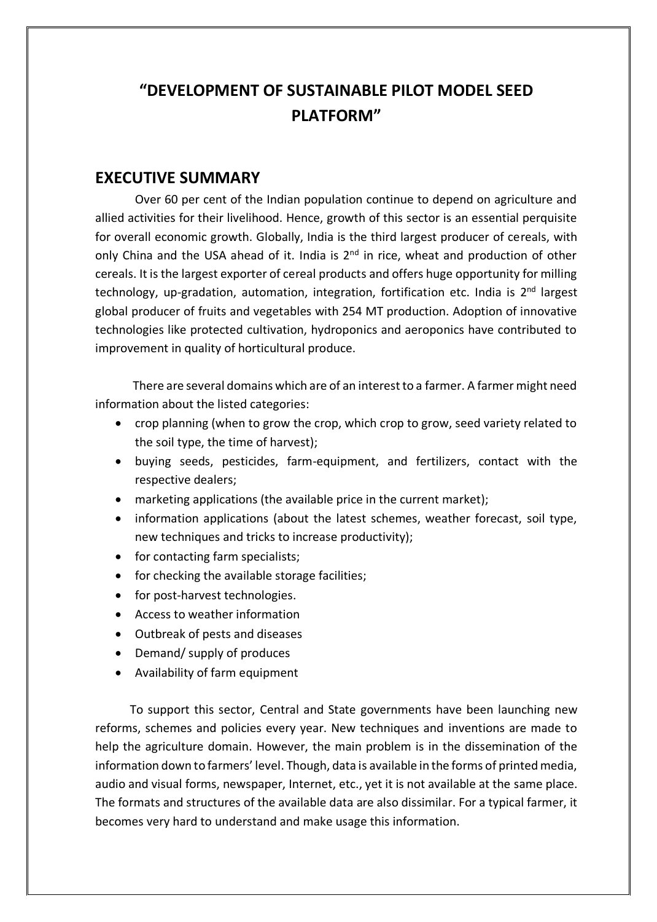## **"DEVELOPMENT OF SUSTAINABLE PILOT MODEL SEED PLATFORM"**

#### **EXECUTIVE SUMMARY**

Over 60 per cent of the Indian population continue to depend on agriculture and allied activities for their livelihood. Hence, growth of this sector is an essential perquisite for overall economic growth. Globally, India is the third largest producer of cereals, with only China and the USA ahead of it. India is  $2<sup>nd</sup>$  in rice, wheat and production of other cereals. It is the largest exporter of cereal products and offers huge opportunity for milling technology, up-gradation, automation, integration, fortification etc. India is 2<sup>nd</sup> largest global producer of fruits and vegetables with 254 MT production. Adoption of innovative technologies like protected cultivation, hydroponics and aeroponics have contributed to improvement in quality of horticultural produce.

 There are several domains which are of an interest to a farmer. A farmer might need information about the listed categories:

- crop planning (when to grow the crop, which crop to grow, seed variety related to the soil type, the time of harvest);
- buying seeds, pesticides, farm-equipment, and fertilizers, contact with the respective dealers;
- marketing applications (the available price in the current market);
- information applications (about the latest schemes, weather forecast, soil type, new techniques and tricks to increase productivity);
- for contacting farm specialists;
- for checking the available storage facilities;
- for post-harvest technologies.
- Access to weather information
- Outbreak of pests and diseases
- Demand/ supply of produces
- Availability of farm equipment

 To support this sector, Central and State governments have been launching new reforms, schemes and policies every year. New techniques and inventions are made to help the agriculture domain. However, the main problem is in the dissemination of the information down to farmers' level. Though, data is available in the forms of printed media, audio and visual forms, newspaper, Internet, etc., yet it is not available at the same place. The formats and structures of the available data are also dissimilar. For a typical farmer, it becomes very hard to understand and make usage this information.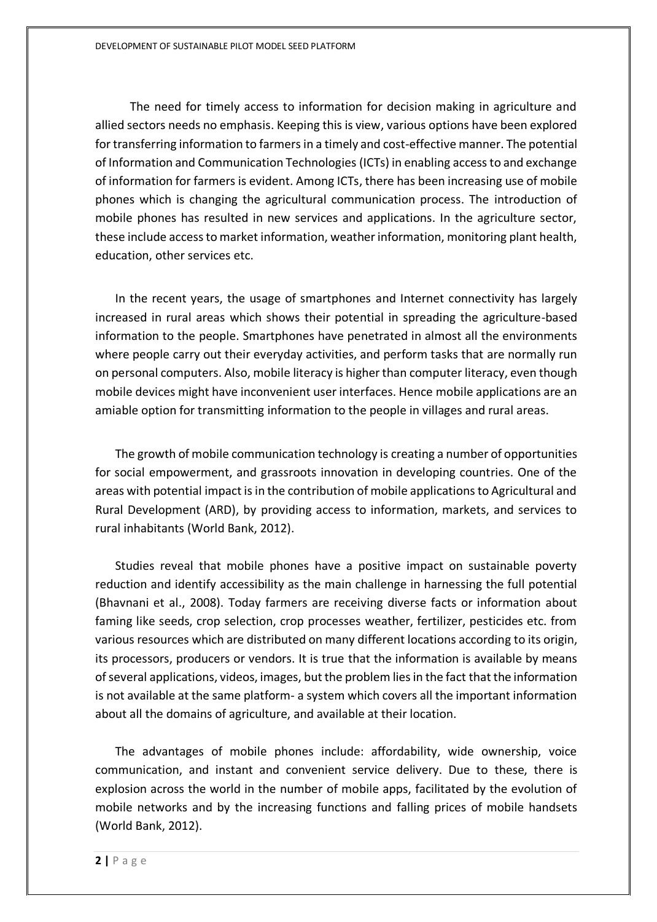The need for timely access to information for decision making in agriculture and allied sectors needs no emphasis. Keeping this is view, various options have been explored for transferring information to farmers in a timely and cost-effective manner. The potential of Information and Communication Technologies (ICTs) in enabling access to and exchange of information for farmers is evident. Among ICTs, there has been increasing use of mobile phones which is changing the agricultural communication process. The introduction of mobile phones has resulted in new services and applications. In the agriculture sector, these include access to market information, weather information, monitoring plant health, education, other services etc.

In the recent years, the usage of smartphones and Internet connectivity has largely increased in rural areas which shows their potential in spreading the agriculture-based information to the people. Smartphones have penetrated in almost all the environments where people carry out their everyday activities, and perform tasks that are normally run on personal computers. Also, mobile literacy is higher than computer literacy, even though mobile devices might have inconvenient user interfaces. Hence mobile applications are an amiable option for transmitting information to the people in villages and rural areas.

The growth of mobile communication technology is creating a number of opportunities for social empowerment, and grassroots innovation in developing countries. One of the areas with potential impact is in the contribution of mobile applications to Agricultural and Rural Development (ARD), by providing access to information, markets, and services to rural inhabitants (World Bank, 2012).

Studies reveal that mobile phones have a positive impact on sustainable poverty reduction and identify accessibility as the main challenge in harnessing the full potential (Bhavnani et al., 2008). Today farmers are receiving diverse facts or information about faming like seeds, crop selection, crop processes weather, fertilizer, pesticides etc. from various resources which are distributed on many different locations according to its origin, its processors, producers or vendors. It is true that the information is available by means of several applications, videos, images, but the problem lies in the fact that the information is not available at the same platform- a system which covers all the important information about all the domains of agriculture, and available at their location.

The advantages of mobile phones include: affordability, wide ownership, voice communication, and instant and convenient service delivery. Due to these, there is explosion across the world in the number of mobile apps, facilitated by the evolution of mobile networks and by the increasing functions and falling prices of mobile handsets (World Bank, 2012).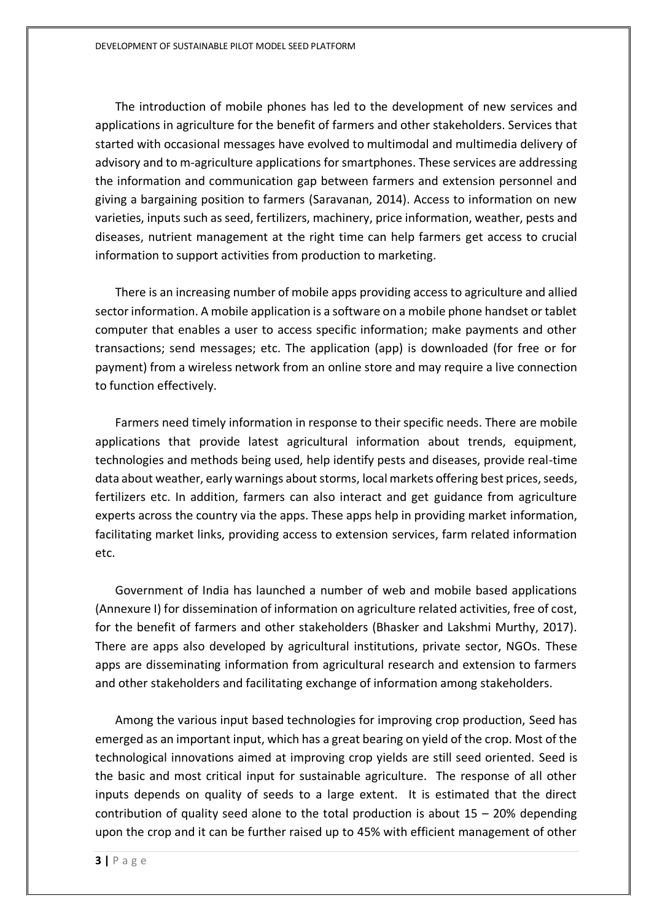The introduction of mobile phones has led to the development of new services and applications in agriculture for the benefit of farmers and other stakeholders. Services that started with occasional messages have evolved to multimodal and multimedia delivery of advisory and to m-agriculture applications for smartphones. These services are addressing the information and communication gap between farmers and extension personnel and giving a bargaining position to farmers (Saravanan, 2014). Access to information on new varieties, inputs such as seed, fertilizers, machinery, price information, weather, pests and diseases, nutrient management at the right time can help farmers get access to crucial information to support activities from production to marketing.

There is an increasing number of mobile apps providing access to agriculture and allied sector information. A mobile application is a software on a mobile phone handset or tablet computer that enables a user to access specific information; make payments and other transactions; send messages; etc. The application (app) is downloaded (for free or for payment) from a wireless network from an online store and may require a live connection to function effectively.

Farmers need timely information in response to their specific needs. There are mobile applications that provide latest agricultural information about trends, equipment, technologies and methods being used, help identify pests and diseases, provide real-time data about weather, early warnings about storms, local markets offering best prices, seeds, fertilizers etc. In addition, farmers can also interact and get guidance from agriculture experts across the country via the apps. These apps help in providing market information, facilitating market links, providing access to extension services, farm related information etc.

Government of India has launched a number of web and mobile based applications (Annexure I) for dissemination of information on agriculture related activities, free of cost, for the benefit of farmers and other stakeholders (Bhasker and Lakshmi Murthy, 2017). There are apps also developed by agricultural institutions, private sector, NGOs. These apps are disseminating information from agricultural research and extension to farmers and other stakeholders and facilitating exchange of information among stakeholders.

Among the various input based technologies for improving crop production, Seed has emerged as an important input, which has a great bearing on yield of the crop. Most of the technological innovations aimed at improving crop yields are still seed oriented. Seed is the basic and most critical input for sustainable agriculture. The response of all other inputs depends on quality of seeds to a large extent. It is estimated that the direct contribution of quality seed alone to the total production is about  $15 - 20\%$  depending upon the crop and it can be further raised up to 45% with efficient management of other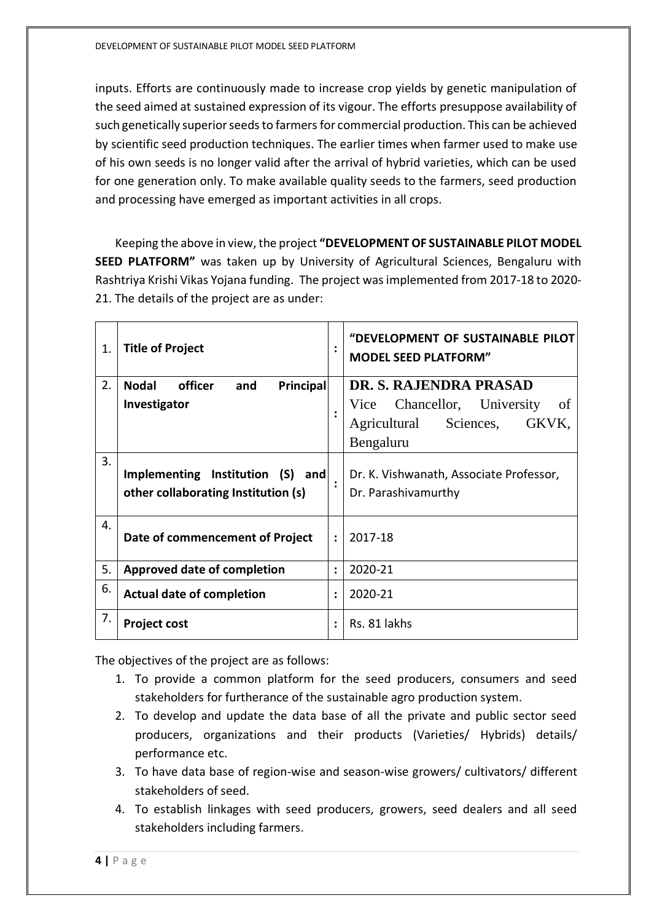inputs. Efforts are continuously made to increase crop yields by genetic manipulation of the seed aimed at sustained expression of its vigour. The efforts presuppose availability of such genetically superior seeds to farmers for commercial production. This can be achieved by scientific seed production techniques. The earlier times when farmer used to make use of his own seeds is no longer valid after the arrival of hybrid varieties, which can be used for one generation only. To make available quality seeds to the farmers, seed production and processing have emerged as important activities in all crops.

Keeping the above in view, the project **"DEVELOPMENT OF SUSTAINABLE PILOT MODEL SEED PLATFORM"** was taken up by University of Agricultural Sciences, Bengaluru with Rashtriya Krishi Vikas Yojana funding. The project was implemented from 2017-18 to 2020- 21. The details of the project are as under:

| $\mathbf{1}$ . | <b>Title of Project</b>                                                 | $\ddot{\cdot}$ | "DEVELOPMENT OF SUSTAINABLE PILOT<br><b>MODEL SEED PLATFORM"</b> |
|----------------|-------------------------------------------------------------------------|----------------|------------------------------------------------------------------|
| 2.             | Nodal<br>officer<br>and<br><b>Principal</b>                             |                | DR. S. RAJENDRA PRASAD                                           |
|                | Investigator                                                            |                | Vice Chancellor, University<br>of                                |
|                |                                                                         |                | Sciences, GKVK,<br>Agricultural                                  |
|                |                                                                         |                | Bengaluru                                                        |
| 3.             | Implementing Institution (S) and<br>other collaborating Institution (s) |                | Dr. K. Vishwanath, Associate Professor,<br>Dr. Parashivamurthy   |
| 4.             | Date of commencement of Project                                         | $\ddot{\cdot}$ | 2017-18                                                          |
| 5.             | <b>Approved date of completion</b>                                      | $\ddot{\cdot}$ | 2020-21                                                          |
| 6.             | <b>Actual date of completion</b>                                        | $\ddot{\cdot}$ | 2020-21                                                          |
| 7.             | <b>Project cost</b>                                                     |                | Rs. 81 lakhs                                                     |

The objectives of the project are as follows:

- 1. To provide a common platform for the seed producers, consumers and seed stakeholders for furtherance of the sustainable agro production system.
- 2. To develop and update the data base of all the private and public sector seed producers, organizations and their products (Varieties/ Hybrids) details/ performance etc.
- 3. To have data base of region-wise and season-wise growers/ cultivators/ different stakeholders of seed.
- 4. To establish linkages with seed producers, growers, seed dealers and all seed stakeholders including farmers.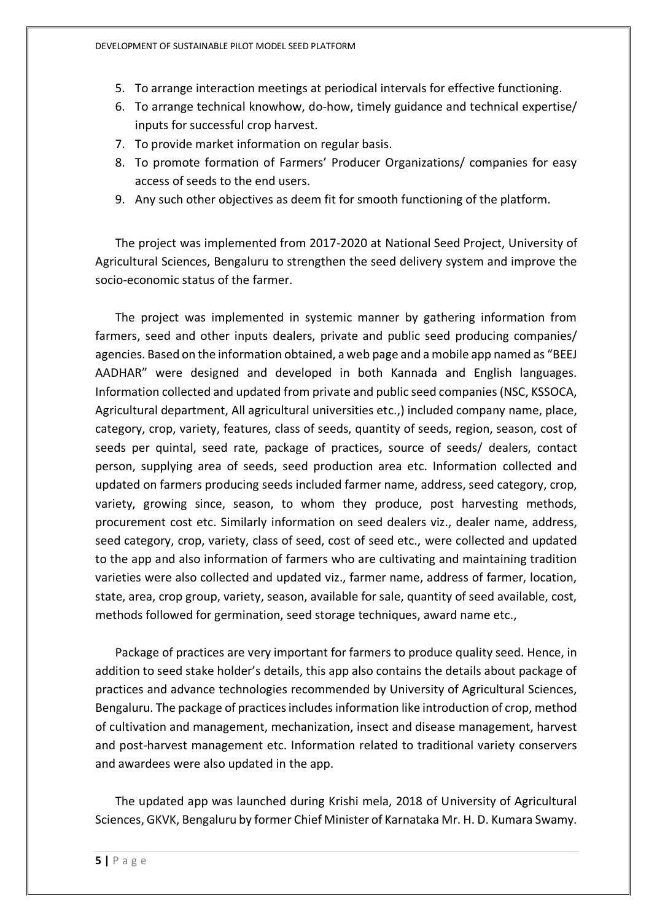- 5. To arrange interaction meetings at periodical intervals for effective functioning.
- 6. To arrange technical knowhow, do-how, timely guidance and technical expertise/ inputs for successful crop harvest.
- 7. To provide market information on regular basis.
- 8. To promote formation of Farmers' Producer Organizations/ companies for easy access of seeds to the end users.
- 9. Any such other objectives as deem fit for smooth functioning of the platform.

The project was implemented from 2017-2020 at National Seed Project, University of Agricultural Sciences, Bengaluru to strengthen the seed delivery system and improve the socio-economic status of the farmer.

The project was implemented in systemic manner by gathering information from farmers, seed and other inputs dealers, private and public seed producing companies/ agencies. Based on the information obtained, a web page and a mobile app named as "BEEJ AADHAR" were designed and developed in both Kannada and English languages. Information collected and updated from private and public seed companies (NSC, KSSOCA, Agricultural department, All agricultural universities etc.,) included company name, place, category, crop, variety, features, class of seeds, quantity of seeds, region, season, cost of seeds per quintal, seed rate, package of practices, source of seeds/ dealers, contact person, supplying area of seeds, seed production area etc. Information collected and updated on farmers producing seeds included farmer name, address, seed category, crop, variety, growing since, season, to whom they produce, post harvesting methods, procurement cost etc. Similarly information on seed dealers viz., dealer name, address, seed category, crop, variety, class of seed, cost of seed etc., were collected and updated to the app and also information of farmers who are cultivating and maintaining tradition varieties were also collected and updated viz., farmer name, address of farmer, location, state, area, crop group, variety, season, available for sale, quantity of seed available, cost, methods followed for germination, seed storage techniques, award name etc.,

Package of practices are very important for farmers to produce quality seed. Hence, in addition to seed stake holder's details, this app also contains the details about package of practices and advance technologies recommended by University of Agricultural Sciences, Bengaluru. The package of practices includes information like introduction of crop, method of cultivation and management, mechanization, insect and disease management, harvest and post-harvest management etc. Information related to traditional variety conservers and awardees were also updated in the app.

The updated app was launched during Krishi mela, 2018 of University of Agricultural Sciences, GKVK, Bengaluru by former Chief Minister of Karnataka Mr. H. D. Kumara Swamy.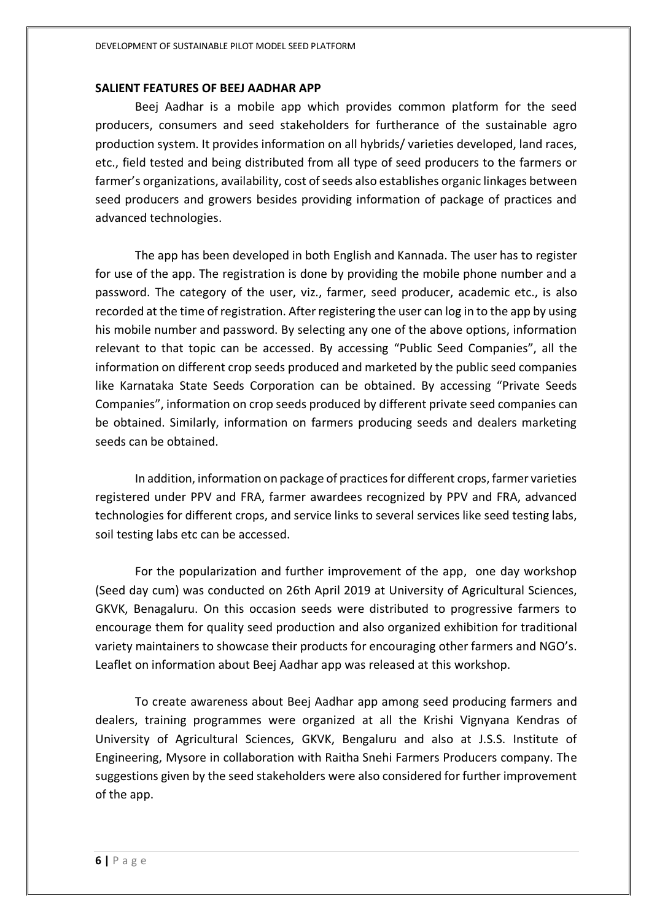#### **SALIENT FEATURES OF BEEJ AADHAR APP**

Beej Aadhar is a mobile app which provides common platform for the seed producers, consumers and seed stakeholders for furtherance of the sustainable agro production system. It provides information on all hybrids/ varieties developed, land races, etc., field tested and being distributed from all type of seed producers to the farmers or farmer's organizations, availability, cost of seeds also establishes organic linkages between seed producers and growers besides providing information of package of practices and advanced technologies.

The app has been developed in both English and Kannada. The user has to register for use of the app. The registration is done by providing the mobile phone number and a password. The category of the user, viz., farmer, seed producer, academic etc., is also recorded at the time of registration. After registering the user can log in to the app by using his mobile number and password. By selecting any one of the above options, information relevant to that topic can be accessed. By accessing "Public Seed Companies", all the information on different crop seeds produced and marketed by the public seed companies like Karnataka State Seeds Corporation can be obtained. By accessing "Private Seeds Companies", information on crop seeds produced by different private seed companies can be obtained. Similarly, information on farmers producing seeds and dealers marketing seeds can be obtained.

In addition, information on package of practices for different crops, farmer varieties registered under PPV and FRA, farmer awardees recognized by PPV and FRA, advanced technologies for different crops, and service links to several services like seed testing labs, soil testing labs etc can be accessed.

For the popularization and further improvement of the app, one day workshop (Seed day cum) was conducted on 26th April 2019 at University of Agricultural Sciences, GKVK, Benagaluru. On this occasion seeds were distributed to progressive farmers to encourage them for quality seed production and also organized exhibition for traditional variety maintainers to showcase their products for encouraging other farmers and NGO's. Leaflet on information about Beej Aadhar app was released at this workshop.

To create awareness about Beej Aadhar app among seed producing farmers and dealers, training programmes were organized at all the Krishi Vignyana Kendras of University of Agricultural Sciences, GKVK, Bengaluru and also at J.S.S. Institute of Engineering, Mysore in collaboration with Raitha Snehi Farmers Producers company. The suggestions given by the seed stakeholders were also considered for further improvement of the app.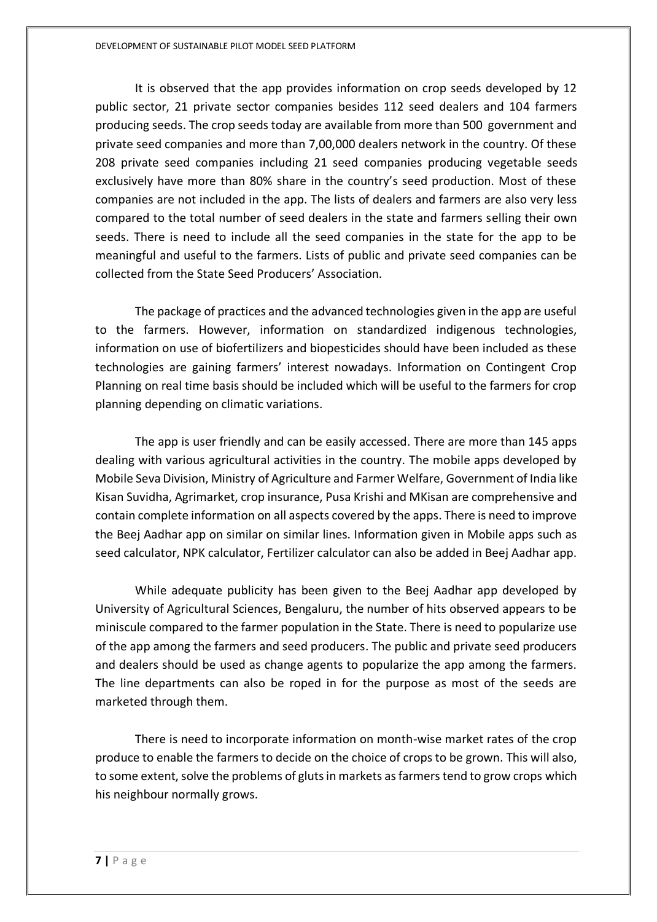It is observed that the app provides information on crop seeds developed by 12 public sector, 21 private sector companies besides 112 seed dealers and 104 farmers producing seeds. The crop seeds today are available from more than 500 government and private seed companies and more than 7,00,000 dealers network in the country. Of these 208 private seed companies including 21 seed companies producing vegetable seeds exclusively have more than 80% share in the country's seed production. Most of these companies are not included in the app. The lists of dealers and farmers are also very less compared to the total number of seed dealers in the state and farmers selling their own seeds. There is need to include all the seed companies in the state for the app to be meaningful and useful to the farmers. Lists of public and private seed companies can be collected from the State Seed Producers' Association.

The package of practices and the advanced technologies given in the app are useful to the farmers. However, information on standardized indigenous technologies, information on use of biofertilizers and biopesticides should have been included as these technologies are gaining farmers' interest nowadays. Information on Contingent Crop Planning on real time basis should be included which will be useful to the farmers for crop planning depending on climatic variations.

The app is user friendly and can be easily accessed. There are more than 145 apps dealing with various agricultural activities in the country. The mobile apps developed by Mobile Seva Division, Ministry of Agriculture and Farmer Welfare, Government of India like Kisan Suvidha, Agrimarket, crop insurance, Pusa Krishi and MKisan are comprehensive and contain complete information on all aspects covered by the apps. There is need to improve the Beej Aadhar app on similar on similar lines. Information given in Mobile apps such as seed calculator, NPK calculator, Fertilizer calculator can also be added in Beej Aadhar app.

While adequate publicity has been given to the Beej Aadhar app developed by University of Agricultural Sciences, Bengaluru, the number of hits observed appears to be miniscule compared to the farmer population in the State. There is need to popularize use of the app among the farmers and seed producers. The public and private seed producers and dealers should be used as change agents to popularize the app among the farmers. The line departments can also be roped in for the purpose as most of the seeds are marketed through them.

There is need to incorporate information on month-wise market rates of the crop produce to enable the farmers to decide on the choice of crops to be grown. This will also, to some extent, solve the problems of gluts in markets as farmers tend to grow crops which his neighbour normally grows.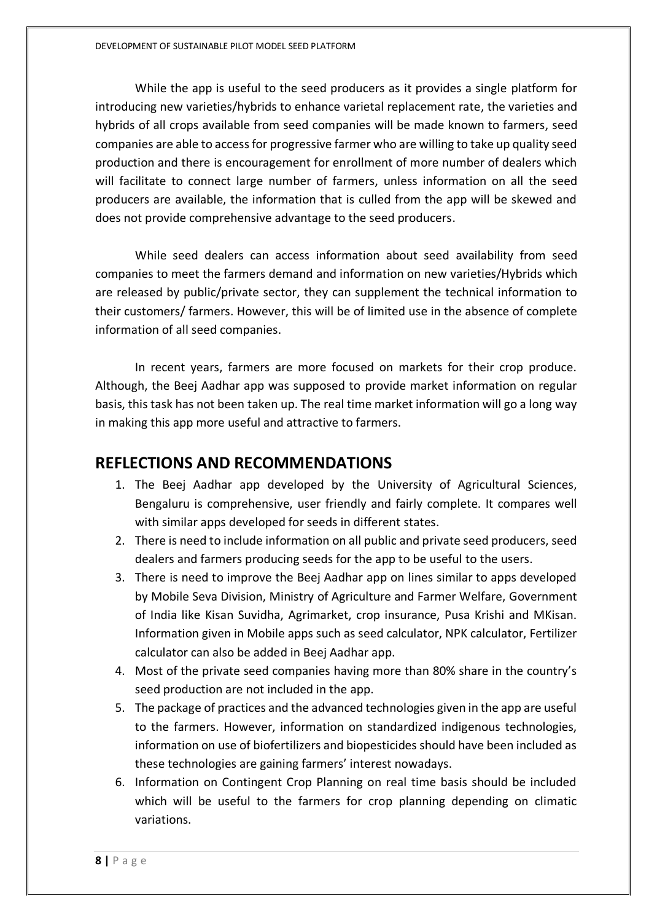While the app is useful to the seed producers as it provides a single platform for introducing new varieties/hybrids to enhance varietal replacement rate, the varieties and hybrids of all crops available from seed companies will be made known to farmers, seed companies are able to access for progressive farmer who are willing to take up quality seed production and there is encouragement for enrollment of more number of dealers which will facilitate to connect large number of farmers, unless information on all the seed producers are available, the information that is culled from the app will be skewed and does not provide comprehensive advantage to the seed producers.

While seed dealers can access information about seed availability from seed companies to meet the farmers demand and information on new varieties/Hybrids which are released by public/private sector, they can supplement the technical information to their customers/ farmers. However, this will be of limited use in the absence of complete information of all seed companies.

In recent years, farmers are more focused on markets for their crop produce. Although, the Beej Aadhar app was supposed to provide market information on regular basis, this task has not been taken up. The real time market information will go a long way in making this app more useful and attractive to farmers.

#### **REFLECTIONS AND RECOMMENDATIONS**

- 1. The Beej Aadhar app developed by the University of Agricultural Sciences, Bengaluru is comprehensive, user friendly and fairly complete. It compares well with similar apps developed for seeds in different states.
- 2. There is need to include information on all public and private seed producers, seed dealers and farmers producing seeds for the app to be useful to the users.
- 3. There is need to improve the Beej Aadhar app on lines similar to apps developed by Mobile Seva Division, Ministry of Agriculture and Farmer Welfare, Government of India like Kisan Suvidha, Agrimarket, crop insurance, Pusa Krishi and MKisan. Information given in Mobile apps such as seed calculator, NPK calculator, Fertilizer calculator can also be added in Beej Aadhar app.
- 4. Most of the private seed companies having more than 80% share in the country's seed production are not included in the app.
- 5. The package of practices and the advanced technologies given in the app are useful to the farmers. However, information on standardized indigenous technologies, information on use of biofertilizers and biopesticides should have been included as these technologies are gaining farmers' interest nowadays.
- 6. Information on Contingent Crop Planning on real time basis should be included which will be useful to the farmers for crop planning depending on climatic variations.